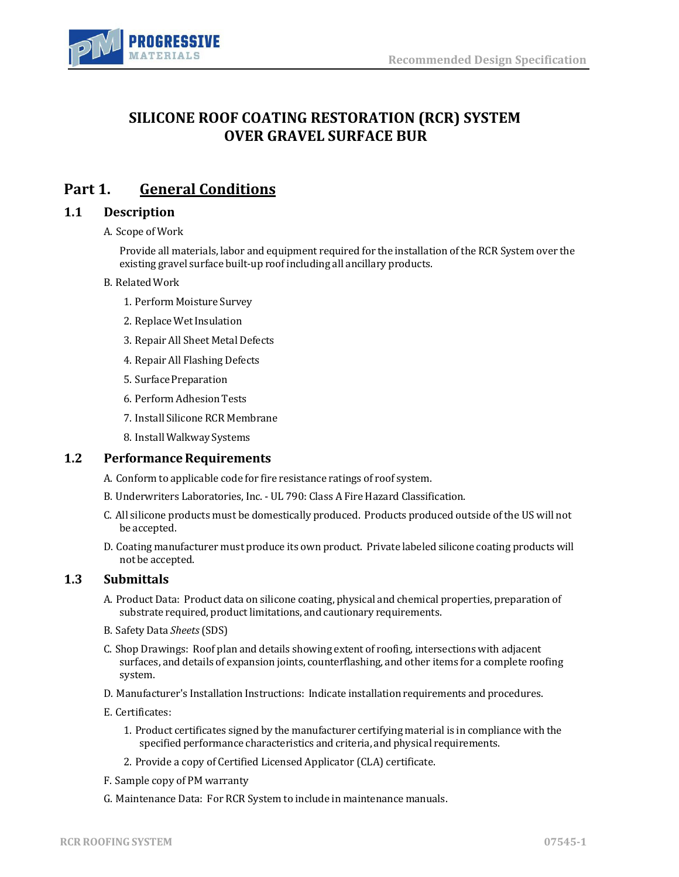

# **SILICONE ROOF COATING RESTORATION (RCR) SYSTEM OVER GRAVEL SURFACE BUR**

# **Part 1. General Conditions**

### **1.1 Description**

#### A. Scope of Work

Provide all materials, labor and equipment required for the installation of the RCR System over the existing gravel surface built-up roof including all ancillary products.

#### B. RelatedWork

- 1. Perform Moisture Survey
- 2. Replace Wet Insulation
- 3. Repair All Sheet Metal Defects
- 4. Repair All Flashing Defects
- 5. Surface Preparation
- 6. Perform Adhesion Tests
- 7. Install Silicone RCR Membrane
- 8. Install Walkway Systems

### **1.2** Performance Requirements

- A. Conform to applicable code for fire resistance ratings of roof system.
- B. Underwriters Laboratories, Inc. UL 790: Class A Fire Hazard Classification.
- C. All silicone products must be domestically produced. Products produced outside of the US will not be accepted.
- D. Coating manufacturer must produce its own product. Private labeled silicone coating products will not be accepted.

## **1.3 Submittals**

- A. Product Data: Product data on silicone coating, physical and chemical properties, preparation of substrate required, product limitations, and cautionary requirements.
- B. Safety Data *Sheets*(SDS)
- C. Shop Drawings: Roof plan and details showing extent of roofing, intersections with adjacent surfaces, and details of expansion joints, counterflashing, and other items for a complete roofing system.
- D. Manufacturer's Installation Instructions: Indicate installation requirements and procedures.
- E. Certificates:
	- 1. Product certificates signed by the manufacturer certifying material is in compliance with the specified performance characteristics and criteria, and physical requirements.
	- 2. Provide a copy of Certified Licensed Applicator (CLA) certificate.
- F. Sample copy of PM warranty
- G. Maintenance Data: For RCR System to include in maintenance manuals.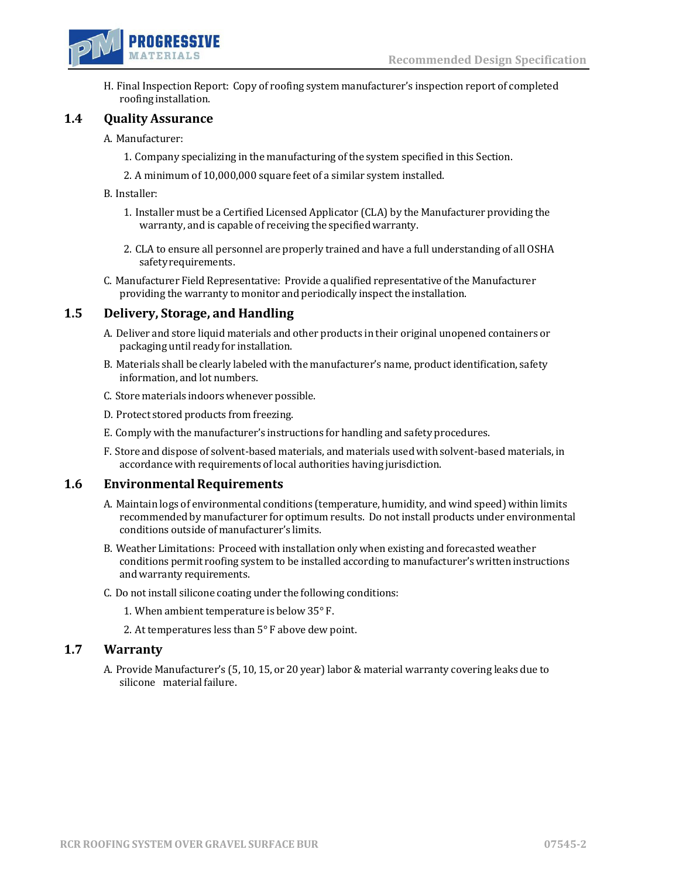

H. Final Inspection Report: Copy of roofing system manufacturer's inspection report of completed roofing installation.

### **1.4 Quality Assurance**

#### A. Manufacturer:

- 1. Company specializing in the manufacturing of the system specified in this Section.
- 2. A minimum of 10,000,000 square feet of a similar system installed.
- B. Installer:
	- 1. Installer must be a Certified Licensed Applicator (CLA) by the Manufacturer providing the warranty, and is capable of receiving the specified warranty.
	- 2. CLA to ensure all personnel are properly trained and have a full understanding of all OSHA safety requirements.
- C. Manufacturer Field Representative: Provide a qualified representative of the Manufacturer providing the warranty to monitor and periodically inspect the installation.

## **1.5 Delivery, Storage, and Handling**

- A. Deliver and store liquid materials and other products in their original unopened containers or packaging until ready for installation.
- B. Materials shall be clearly labeled with the manufacturer's name, product identification, safety information, and lot numbers.
- C. Store materials indoors whenever possible.
- D. Protect stored products from freezing.
- E. Comply with the manufacturer's instructions for handling and safety procedures.
- F. Store and dispose of solvent-based materials, and materials used with solvent-based materials, in accordance with requirements of local authorities having jurisdiction.

### **1.6 Environmental Requirements**

- A. Maintain logs of environmental conditions (temperature, humidity, and wind speed) within limits recommended by manufacturer for optimum results. Do not install products under environmental conditions outside of manufacturer's limits.
- B. Weather Limitations: Proceed with installation only when existing and forecasted weather conditions permit roofing system to be installed according to manufacturer's written instructions andwarranty requirements.
- C. Do not install silicone coating under the following conditions:
	- 1. When ambient temperature is below 35° F.
	- 2. At temperatures less than 5° F above dew point.

### **1.7 Warranty**

A. Provide Manufacturer's (5, 10, 15, or 20 year)labor & material warranty covering leaks due to silicone material failure.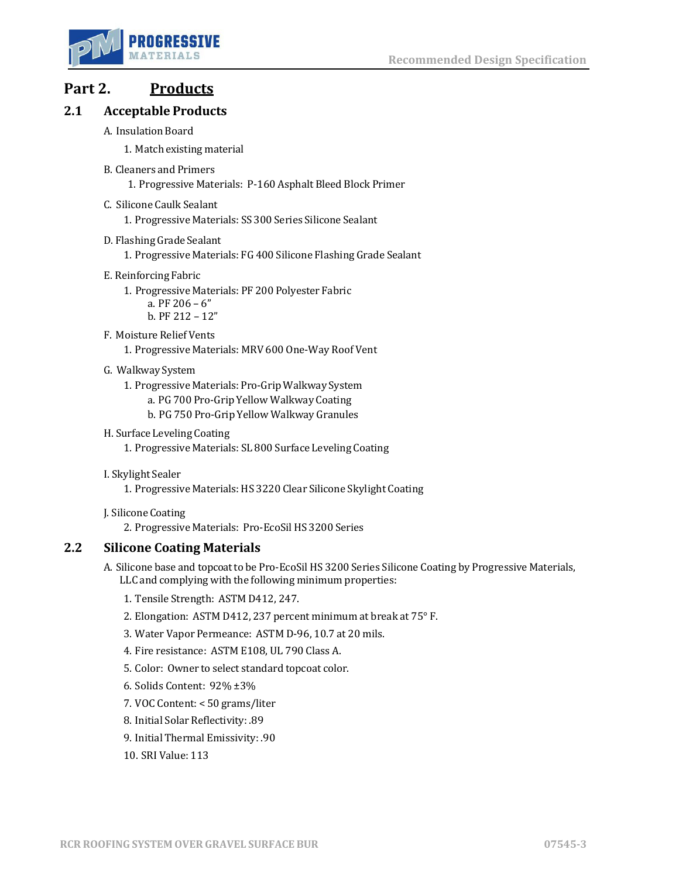

# **Part 2. Products**

## **2.1 Acceptable Products**

A. Insulation Board

1. Match existing material

- B. Cleaners and Primers
	- 1. Progressive Materials: P-160 Asphalt Bleed Block Primer
- C. Silicone Caulk Sealant
	- 1. Progressive Materials: SS 300 Series Silicone Sealant
- D. Flashing Grade Sealant
	- 1. Progressive Materials: FG 400 Silicone Flashing Grade Sealant
- E. ReinforcingFabric
	- 1. Progressive Materials: PF 200 Polyester Fabric
		- a. PF 206 6"
		- b. PF 212 12"
- F. Moisture Relief Vents
	- 1. Progressive Materials: MRV 600 One-Way Roof Vent
- G. Walkway System
	- 1. Progressive Materials: Pro-Grip Walkway System
		- a. PG 700 Pro-Grip Yellow Walkway Coating
		- b. PG 750 Pro-Grip Yellow Walkway Granules
- H. Surface Leveling Coating
	- 1. Progressive Materials: SL 800 Surface Leveling Coating
- I. Skylight Sealer
	- 1. Progressive Materials: HS 3220 Clear Silicone Skylight Coating
- J. SiliconeCoating
	- 2. Progressive Materials: Pro-EcoSil HS 3200 Series

## **2.2 Silicone Coating Materials**

- A. Silicone base and topcoat to be Pro-EcoSil HS 3200 Series Silicone Coating by Progressive Materials, LLC and complying with the following minimum properties:
	- 1. Tensile Strength: ASTM D412, 247.
	- 2. Elongation: ASTM D412, 237 percent minimum at break at 75° F.
	- 3. Water Vapor Permeance: ASTM D-96, 10.7 at 20 mils.
	- 4. Fire resistance: ASTM E108, UL 790 Class A.
	- 5. Color: Owner to select standard topcoat color.
	- 6. Solids Content: 92% ±3%
	- 7. VOC Content: < 50 grams/liter
	- 8. Initial Solar Reflectivity: .89
	- 9. Initial Thermal Emissivity: .90
	- 10. SRI Value: 113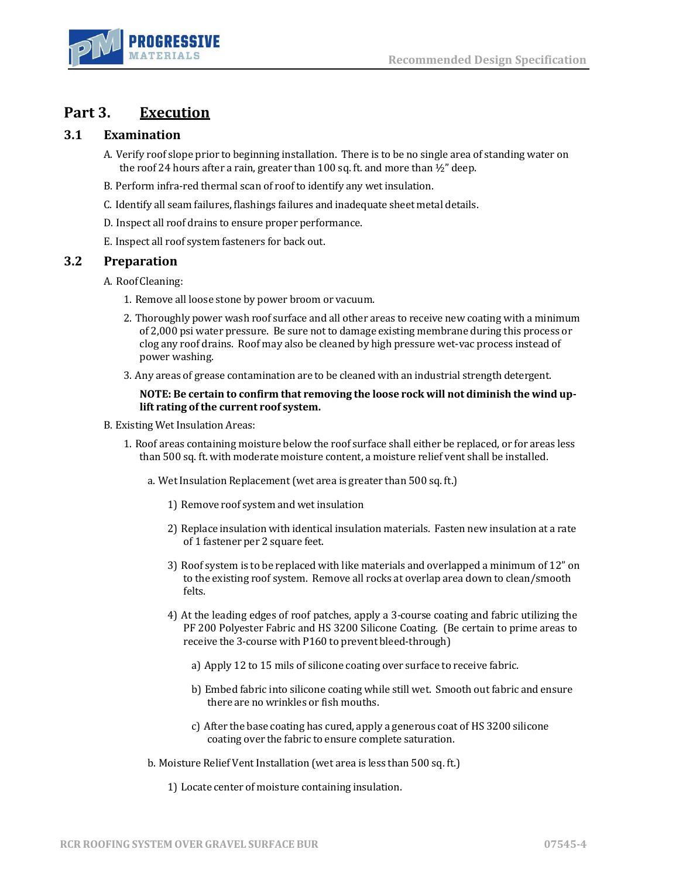

# **Part 3. Execution**

## **3.1 Examination**

- A. Verify roof slope prior to beginning installation. There is to be no single area of standing water on the roof 24 hours after a rain, greater than 100 sq. ft. and more than  $\frac{1}{2}$ " deep.
- B. Perform infra-red thermal scan of roof to identify any wet insulation.
- C. Identify all seam failures, flashings failures and inadequate sheet metal details.
- D. Inspect all roof drains to ensure proper performance.
- E. Inspect all roof system fasteners for back out.

### **3.2 Preparation**

- A. Roof Cleaning:
	- 1. Remove all loose stone by power broom or vacuum.
	- 2. Thoroughly power wash roof surface and all other areas to receive new coating with a minimum of 2,000 psi water pressure. Be sure not to damage existing membrane during this process or clog any roof drains. Roof may also be cleaned by high pressure wet-vac process instead of power washing.
	- 3. Any areas of grease contamination are to be cleaned with an industrial strength detergent.

#### **NOTE: Be certain to confirm that removing the loose rock will not diminish the wind uplift rating of the current roof system.**

- B. Existing Wet Insulation Areas:
	- 1. Roof areas containing moisture below the roof surface shall either be replaced, or for areas less than 500 sq. ft. with moderate moisture content, a moisture relief vent shall be installed.
		- a. Wet Insulation Replacement (wet area is greater than 500 sq. ft.)
			- 1) Remove roof system and wet insulation
			- 2) Replace insulation with identical insulation materials. Fasten new insulation at a rate of 1 fastener per 2 square feet.
			- 3) Roof system is to be replaced with like materials and overlapped a minimum of 12" on to the existing roof system. Remove all rocks at overlap area down to clean/smooth felts.
			- 4) At the leading edges of roof patches, apply a 3-course coating and fabric utilizing the PF 200 Polyester Fabric and HS 3200 Silicone Coating. (Be certain to prime areas to receive the 3-course with P160 to prevent bleed-through)
				- a) Apply 12 to 15 mils of silicone coating over surface to receive fabric.
				- b) Embed fabric into silicone coating while still wet. Smooth out fabric and ensure there are no wrinkles or fish mouths.
				- c) After the base coating has cured, apply a generous coat of HS 3200 silicone coating over the fabric to ensure complete saturation.
		- b. Moisture Relief Vent Installation (wet area is less than 500 sq. ft.)
			- 1) Locate center of moisture containing insulation.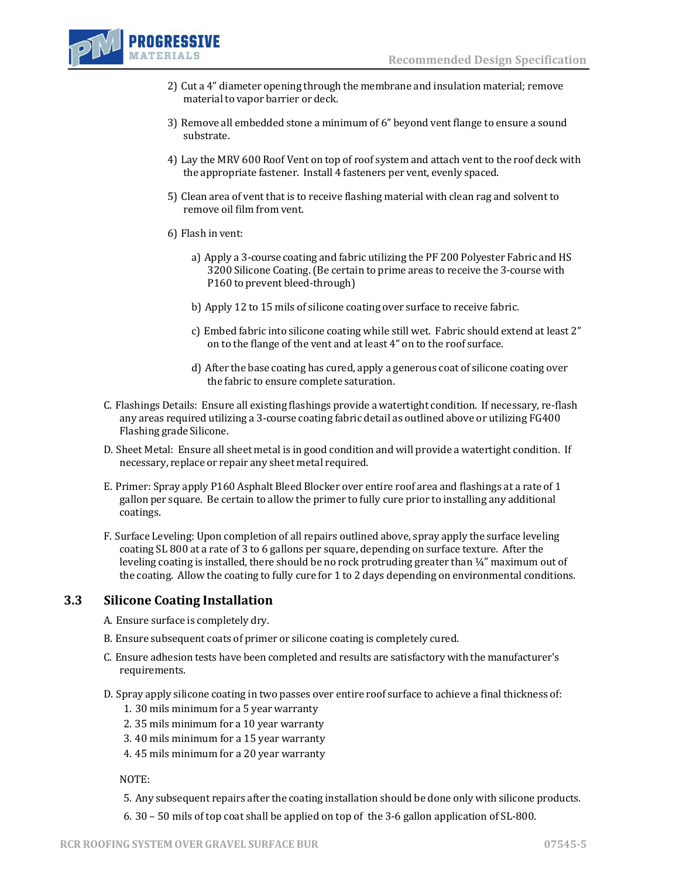

- 2) Cut a 4" diameter opening through the membrane and insulation material; remove material to vapor barrier or deck.
- 3) Remove all embedded stone a minimum of 6" beyond vent flange to ensure a sound substrate.
- 4) Lay the MRV 600 Roof Vent on top of roof system and attach vent to the roof deck with the appropriate fastener. Install 4 fasteners per vent, evenly spaced.
- 5) Clean area of vent that is to receive flashing material with clean rag and solvent to remove oil film from vent.
- 6) Flash in vent:
	- a) Apply a 3-course coating and fabric utilizing the PF 200 Polyester Fabric and HS 3200 Silicone Coating.(Be certain to prime areas to receive the 3-course with P160 to prevent bleed-through)
	- b) Apply 12 to 15 mils of silicone coating over surface to receive fabric.
	- c) Embed fabric into silicone coating while still wet. Fabric should extend at least 2" on to the flange of the vent and at least 4" on to the roof surface.
	- d) After the base coating has cured, apply a generous coat of silicone coating over the fabric to ensure complete saturation.
- C. Flashings Details: Ensure all existing flashings provide a watertight condition. If necessary, re-flash any areas required utilizing a 3-course coating fabric detail as outlined above or utilizing FG400 Flashing grade Silicone.
- D. Sheet Metal: Ensure all sheet metal is in good condition and will provide a watertight condition. If necessary, replace or repair any sheet metal required.
- E. Primer: Spray apply P160 Asphalt Bleed Blocker over entire roof area and flashings at a rate of 1 gallon per square. Be certain to allow the primer to fully cure prior to installing any additional coatings.
- F. Surface Leveling: Upon completion of all repairs outlined above, spray apply the surface leveling coating SL 800 at a rate of 3 to 6 gallons per square, depending on surface texture. After the leveling coating is installed, there should be no rock protruding greater than  $\frac{1}{4}$ " maximum out of the coating. Allow the coating to fully cure for 1 to 2 days depending on environmental conditions.

### **3.3 Silicone Coating Installation**

- A. Ensure surface is completely dry.
- B. Ensure subsequent coats of primer or silicone coating is completely cured.
- C. Ensure adhesion tests have been completed and results are satisfactory with the manufacturer's requirements.
- D. Spray apply silicone coating in two passes over entire roof surface to achieve a final thickness of:
	- 1. 30 mils minimum for a 5 year warranty
	- 2. 35 mils minimum for a 10 year warranty
	- 3. 40 mils minimum for a 15 year warranty
	- 4. 45 mils minimum for a 20 year warranty

NOTE:

- 5. Any subsequent repairs after the coating installation should be done only with silicone products.
- 6. 30 50 mils of top coat shall be applied on top of the 3-6 gallon application of SL-800.